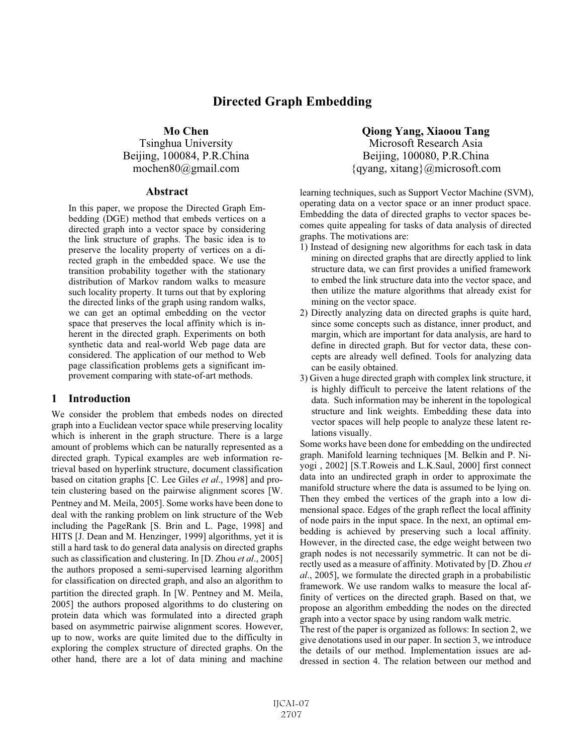# **Directed Graph Embedding**

# **Mo Chen**

Tsinghua University Beijing, 100084, P.R.China mochen80@gmail.com

### **Abstract**

In this paper, we propose the Directed Graph Embedding (DGE) method that embeds vertices on a directed graph into a vector space by considering the link structure of graphs. The basic idea is to preserve the locality property of vertices on a directed graph in the embedded space. We use the transition probability together with the stationary distribution of Markov random walks to measure such locality property. It turns out that by exploring the directed links of the graph using random walks, we can get an optimal embedding on the vector space that preserves the local affinity which is inherent in the directed graph. Experiments on both synthetic data and real-world Web page data are considered. The application of our method to Web page classification problems gets a significant improvement comparing with state-of-art methods.

# **1 Introduction**

We consider the problem that embeds nodes on directed graph into a Euclidean vector space while preserving locality which is inherent in the graph structure. There is a large amount of problems which can be naturally represented as a directed graph. Typical examples are web information retrieval based on hyperlink structure, document classification based on citation graphs [C. Lee Giles *et al*., 1998] and protein clustering based on the pairwise alignment scores [W. Pentney and M. Meila, 2005]. Some works have been done to deal with the ranking problem on link structure of the Web including the PageRank [S. Brin and L. Page, 1998] and HITS [J. Dean and M. Henzinger, 1999] algorithms, yet it is still a hard task to do general data analysis on directed graphs such as classification and clustering. In [D. Zhou *et al*., 2005] the authors proposed a semi-supervised learning algorithm for classification on directed graph, and also an algorithm to partition the directed graph. In [W. Pentney and M. Meila, 2005] the authors proposed algorithms to do clustering on protein data which was formulated into a directed graph based on asymmetric pairwise alignment scores. However, up to now, works are quite limited due to the difficulty in exploring the complex structure of directed graphs. On the other hand, there are a lot of data mining and machine

**Qiong Yang, Xiaoou Tang**  Microsoft Research Asia Beijing, 100080, P.R.China  $\{qyang, xitang\}$ @microsoft.com

learning techniques, such as Support Vector Machine (SVM), operating data on a vector space or an inner product space. Embedding the data of directed graphs to vector spaces becomes quite appealing for tasks of data analysis of directed graphs. The motivations are:

- 1) Instead of designing new algorithms for each task in data mining on directed graphs that are directly applied to link structure data, we can first provides a unified framework to embed the link structure data into the vector space, and then utilize the mature algorithms that already exist for mining on the vector space.
- 2) Directly analyzing data on directed graphs is quite hard, since some concepts such as distance, inner product, and margin, which are important for data analysis, are hard to define in directed graph. But for vector data, these concepts are already well defined. Tools for analyzing data can be easily obtained.
- 3) Given a huge directed graph with complex link structure, it is highly difficult to perceive the latent relations of the data. Such information may be inherent in the topological structure and link weights. Embedding these data into vector spaces will help people to analyze these latent relations visually.

Some works have been done for embedding on the undirected graph. Manifold learning techniques [M. Belkin and P. Niyogi , 2002] [S.T.Roweis and L.K.Saul, 2000] first connect data into an undirected graph in order to approximate the manifold structure where the data is assumed to be lying on. Then they embed the vertices of the graph into a low dimensional space. Edges of the graph reflect the local affinity of node pairs in the input space. In the next, an optimal embedding is achieved by preserving such a local affinity. However, in the directed case, the edge weight between two graph nodes is not necessarily symmetric. It can not be directly used as a measure of affinity. Motivated by [D. Zhou *et al*., 2005], we formulate the directed graph in a probabilistic framework. We use random walks to measure the local affinity of vertices on the directed graph. Based on that, we propose an algorithm embedding the nodes on the directed graph into a vector space by using random walk metric.

The rest of the paper is organized as follows: In section 2, we give denotations used in our paper. In section 3, we introduce the details of our method. Implementation issues are addressed in section 4. The relation between our method and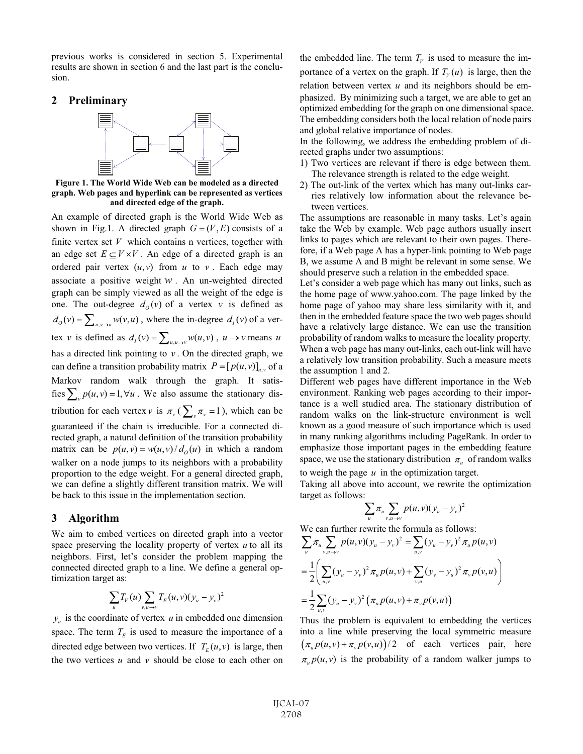previous works is considered in section 5. Experimental results are shown in section 6 and the last part is the conclusion.

#### **2 Preliminary**



**Figure 1. The World Wide Web can be modeled as a directed graph. Web pages and hyperlink can be represented as vertices and directed edge of the graph.** 

An example of directed graph is the World Wide Web as shown in Fig.1. A directed graph  $G = (V, E)$  consists of a finite vertex set *V* which contains n vertices, together with an edge set  $E \subseteq V \times V$ . An edge of a directed graph is an ordered pair vertex  $(u, v)$  from  $u$  to  $v$ . Each edge may associate a positive weight  $W$ . An un-weighted directed graph can be simply viewed as all the weight of the edge is one. The out-degree  $d_o(v)$  of a vertex *v* is defined as  $d_o(v) = \sum_{u,v\to u} w(v,u)$ , where the in-degree  $d_i(v)$  of a vertex v is defined as  $d_i(v) = \sum_{u, u \to v} w(u, v)$ ,  $u \to v$  means *u* has a directed link pointing to  $v$ . On the directed graph, we can define a transition probability matrix  $P = [p(u, v)]_{u,v}$  of a Markov random walk through the graph. It satisfies  $\sum_{y} p(u, v) = 1, \forall u$ . We also assume the stationary distribution for each vertex  $v$  is  $\pi_v$  ( $\sum_{v} \pi_v = 1$ ), which can be guaranteed if the chain is irreducible. For a connected directed graph, a natural definition of the transition probability matrix can be  $p(u, v) = w(u, v) / d_0(u)$  in which a random walker on a node jumps to its neighbors with a probability proportion to the edge weight. For a general directed graph, we can define a slightly different transition matrix. We will be back to this issue in the implementation section.

# **3 Algorithm**

We aim to embed vertices on directed graph into a vector space preserving the locality property of vertex *u* to all its neighbors. First, let's consider the problem mapping the connected directed graph to a line. We define a general optimization target as:

$$
\sum_{u} T_{V}(u) \sum_{v, u \to v} T_{E}(u, v) (y_u - y_v)^2
$$

 $y_u$  is the coordinate of vertex  $u$  in embedded one dimension space. The term  $T_E$  is used to measure the importance of a directed edge between two vertices. If  $T_E(u, v)$  is large, then the two vertices  $u$  and  $v$  should be close to each other on

the embedded line. The term  $T_v$  is used to measure the importance of a vertex on the graph. If  $T_v(u)$  is large, then the relation between vertex *u* and its neighbors should be emphasized. By minimizing such a target, we are able to get an optimized embedding for the graph on one dimensional space. The embedding considers both the local relation of node pairs and global relative importance of nodes.

In the following, we address the embedding problem of directed graphs under two assumptions:

- 1) Two vertices are relevant if there is edge between them. The relevance strength is related to the edge weight.
- 2) The out-link of the vertex which has many out-links carries relatively low information about the relevance between vertices.

The assumptions are reasonable in many tasks. Let's again take the Web by example. Web page authors usually insert links to pages which are relevant to their own pages. Therefore, if a Web page A has a hyper-link pointing to Web page B, we assume A and B might be relevant in some sense. We should preserve such a relation in the embedded space.

Let's consider a web page which has many out links, such as the home page of www.yahoo.com. The page linked by the home page of yahoo may share less similarity with it, and then in the embedded feature space the two web pages should have a relatively large distance. We can use the transition probability of random walks to measure the locality property. When a web page has many out-links, each out-link will have a relatively low transition probability. Such a measure meets the assumption 1 and 2.

Different web pages have different importance in the Web environment. Ranking web pages according to their importance is a well studied area. The stationary distribution of random walks on the link-structure environment is well known as a good measure of such importance which is used in many ranking algorithms including PageRank. In order to emphasize those important pages in the embedding feature space, we use the stationary distribution  $\pi_u$  of random walks

to weigh the page *u* in the optimization target.

Taking all above into account, we rewrite the optimization target as follows:

$$
\sum_{u} \pi_u \sum_{v, u \to v} p(u, v) (y_u - y_v)^2
$$

We can further rewrite the formula as follows:

$$
\sum_{u} \pi_{u} \sum_{v, u \to v} p(u, v) (y_{u} - y_{v})^{2} = \sum_{u, v} (y_{u} - y_{v})^{2} \pi_{u} p(u, v)
$$
  
= 
$$
\frac{1}{2} \Biggl( \sum_{u, v} (y_{u} - y_{v})^{2} \pi_{u} p(u, v) + \sum_{v, u} (y_{v} - y_{u})^{2} \pi_{v} p(v, u) \Biggr)
$$
  
= 
$$
\frac{1}{2} \sum_{u, v} (y_{u} - y_{v})^{2} (\pi_{u} p(u, v) + \pi_{v} p(v, u))
$$

Thus the problem is equivalent to embedding the vertices into a line while preserving the local symmetric measure  $(\pi_{\nu} p(u, v) + \pi_{\nu} p(v, u))$  of each vertices pair, here  $\pi_{\mu} p(u, v)$  is the probability of a random walker jumps to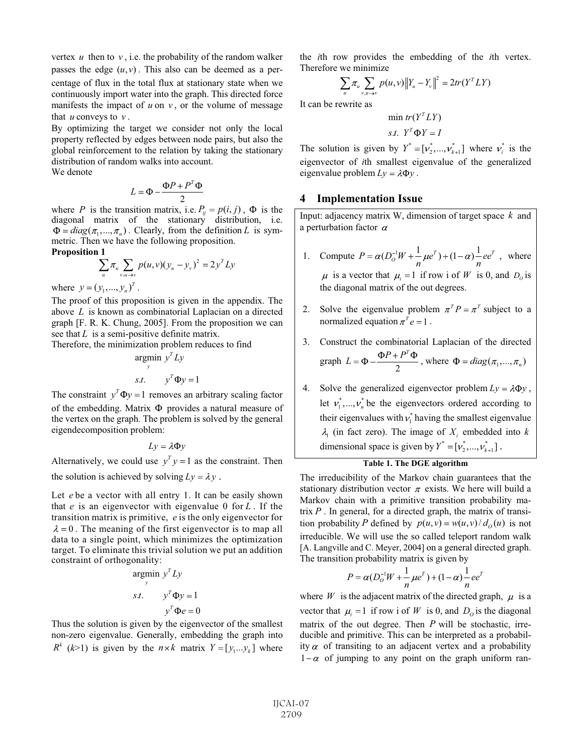vertex  $u$  then to  $v$ , i.e. the probability of the random walker passes the edge  $(u, v)$ . This also can be deemed as a percentage of flux in the total flux at stationary state when we continuously import water into the graph. This directed force manifests the impact of  $u$  on  $v$ , or the volume of message that  $u$  conveys to  $v$ .

By optimizing the target we consider not only the local property reflected by edges between node pairs, but also the global reinforcement to the relation by taking the stationary distribution of random walks into account. We denote

$$
L = \Phi - \frac{\Phi P + P^T}{2}
$$

where *P* is the transition matrix, i.e.  $P_{ij} = p(i, j)$ ,  $\Phi$  is the diagonal matrix of the stationary distribution, i.e.  $\Phi = diag(\pi_1, ..., \pi_n)$ . Clearly, from the definition *L* is symmetric. Then we have the following proposition.

**Proposition 1** 

$$
\sum_{u} \pi_{u} \sum_{v, u \to v} p(u, v) (y_{u} - y_{v})^{2} = 2 y^{T} L y
$$

where  $y = (y_1, ..., y_n)^T$ .

The proof of this proposition is given in the appendix. The above *L* is known as combinatorial Laplacian on a directed graph [F. R. K. Chung, 2005]. From the proposition we can see that *L* is a semi-positive definite matrix.

Therefore, the minimization problem reduces to find

$$
\operatorname*{argmin}_{y} y^T L y
$$
  
s.t.  $y^T \Phi y = 1$ 

The constraint  $y^T \Phi y = 1$  removes an arbitrary scaling factor of the embedding. Matrix  $\Phi$  provides a natural measure of the vertex on the graph. The problem is solved by the general eigendecomposition problem:

 $Lv = \lambda \Phi v$ 

Alternatively, we could use  $y^T y = 1$  as the constraint. Then the solution is achieved by solving  $Ly = \lambda y$ .

Let  $e$  be a vector with all entry 1. It can be easily shown that  $e$  is an eigenvector with eigenvalue 0 for  $L$ . If the transition matrix is primitive, *e* is the only eigenvector for  $\lambda = 0$ . The meaning of the first eigenvector is to map all data to a single point, which minimizes the optimization target. To eliminate this trivial solution we put an addition constraint of orthogonality:

$$
\begin{aligned}\n\text{argmin} \, & y^T L y \\
\text{s.t.} \qquad & y^T \Phi y = 1 \\
& y^T \Phi e = 0\n\end{aligned}
$$

Thus the solution is given by the eigenvector of the smallest non-zero eigenvalue. Generally, embedding the graph into  $R^k$  (*k*>1) is given by the  $n \times k$  matrix  $Y = [y_1...y_k]$  where the *i*th row provides the embedding of the *i*th vertex. Therefore we minimize

$$
\sum_{u} \pi_{u} \sum_{v, u \to v} p(u, v) \|Y_{u} - Y_{v}\|^{2} = 2tr(Y^{T}LY)
$$

It can be rewrite as

$$
\min tr(Y^T L Y)
$$
  
s.t.  $Y^T \Phi Y = I$ 

The solution is given by  $Y^* = [v_2^*,..., v_{k+1}^*]$  where  $v_i^*$  is the eigenvector of *i*th smallest eigenvalue of the generalized eigenvalue problem  $Ly = \lambda \Phi y$ .

### **4 Implementation Issue**

Input: adjacency matrix W, dimension of target space  $k$  and a perturbation factor  $\alpha$ 

- 1. Compute  $P = \alpha (D_0^{-1}W + \frac{1}{n}\mu e^T) + (1 \alpha)\frac{1}{n}ee^T$ , where is a vector that  $\mu_i = 1$  if row i of *W* is 0, and  $D_0$  is the diagonal matrix of the out degrees.
- 2. Solve the eigenvalue problem  $\pi^{T} P = \pi^{T}$  subject to a normalized equation  $\pi^T e = 1$ .
- 3. Construct the combinatorial Laplacian of the directed graph  $L = \Phi - \frac{\Phi P + P^T \Phi}{2}$ , where  $\Phi = diag(\pi_1, ..., \pi_n)$
- 4. Solve the generalized eigenvector problem  $Ly = \lambda \Phi y$ , let  $v_1^*$ , ...,  $v_n^*$  be the eigenvectors ordered according to their eigenvalues with  $v_1^*$  having the smallest eigenvalue  $\lambda_1$  (in fact zero). The image of  $X_i$  embedded into k dimensional space is given by  $Y^* = [v_2^*,..., v_{k+1}^*]$ .

# **Table 1. The DGE algorithm**

The irreducibility of the Markov chain guarantees that the stationary distribution vector  $\pi$  exists. We here will build a Markov chain with a primitive transition probability matrix *P* . In general, for a directed graph, the matrix of transition probability *P* defined by  $p(u, v) = w(u, v)/d_0(u)$  is not irreducible. We will use the so called teleport random walk [A. Langville and C. Meyer, 2004] on a general directed graph. The transition probability matrix is given by

$$
P = \alpha (D_0^{-1}W + \frac{1}{n}\mu e^T) + (1 - \alpha)\frac{1}{n}ee^T
$$

where *W* is the adjacent matrix of the directed graph,  $\mu$  is a vector that  $\mu_i = 1$  if row i of *W* is 0, and  $D_0$  is the diagonal matrix of the out degree. Then *P* will be stochastic, irreducible and primitive. This can be interpreted as a probability  $\alpha$  of transiting to an adjacent vertex and a probability  $1-\alpha$  of jumping to any point on the graph uniform ran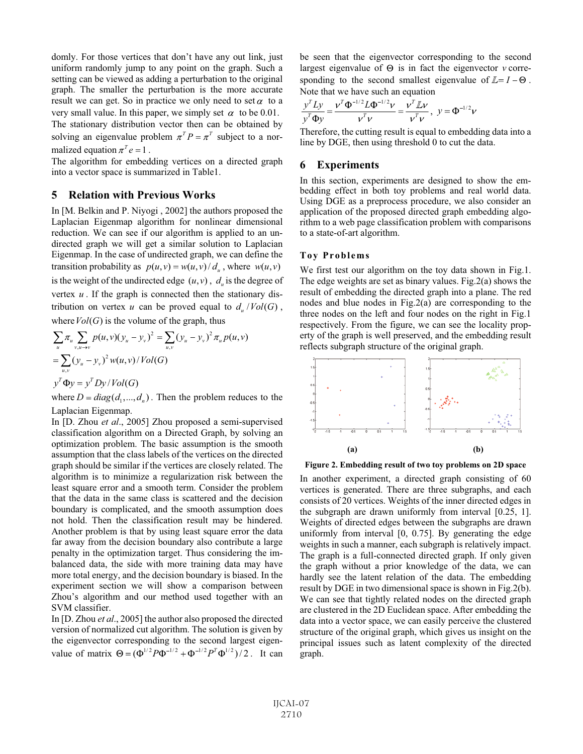domly. For those vertices that don't have any out link, just uniform randomly jump to any point on the graph. Such a setting can be viewed as adding a perturbation to the original graph. The smaller the perturbation is the more accurate result we can get. So in practice we only need to set  $\alpha$  to a very small value. In this paper, we simply set  $\alpha$  to be 0.01. The stationary distribution vector then can be obtained by

solving an eigenvalue problem  $\pi^{T} P = \pi^{T}$  subject to a normalized equation  $\pi^T e = 1$ .

The algorithm for embedding vertices on a directed graph into a vector space is summarized in Table1.

### **5 Relation with Previous Works**

In [M. Belkin and P. Niyogi , 2002] the authors proposed the Laplacian Eigenmap algorithm for nonlinear dimensional reduction. We can see if our algorithm is applied to an undirected graph we will get a similar solution to Laplacian Eigenmap. In the case of undirected graph, we can define the transition probability as  $p(u, v) = w(u, v)/d_u$ , where  $w(u, v)$ is the weight of the undirected edge  $(u, v)$ ,  $d_u$  is the degree of vertex *u* . If the graph is connected then the stationary distribution on vertex *u* can be proved equal to  $d_u / Vol(G)$ ,

where  $Vol(G)$  is the volume of the graph, thus

$$
\sum_{u} \pi_{u} \sum_{v, u \to v} p(u, v)(y_{u} - y_{v})^{2} = \sum_{u, v} (y_{u} - y_{v})^{2} \pi_{u} p(u, v)
$$
  
= 
$$
\sum_{u, v} (y_{u} - y_{v})^{2} w(u, v) / Vol(G)
$$
  

$$
y^{T} \Phi y = y^{T} Dy / Vol(G)
$$

where  $D = diag(d_1, ..., d_n)$ . Then the problem reduces to the Laplacian Eigenmap.

In [D. Zhou *et al*., 2005] Zhou proposed a semi-supervised classification algorithm on a Directed Graph, by solving an optimization problem. The basic assumption is the smooth assumption that the class labels of the vertices on the directed graph should be similar if the vertices are closely related. The algorithm is to minimize a regularization risk between the least square error and a smooth term. Consider the problem that the data in the same class is scattered and the decision boundary is complicated, and the smooth assumption does not hold. Then the classification result may be hindered. Another problem is that by using least square error the data far away from the decision boundary also contribute a large penalty in the optimization target. Thus considering the imbalanced data, the side with more training data may have more total energy, and the decision boundary is biased. In the experiment section we will show a comparison between Zhou's algorithm and our method used together with an SVM classifier.

value of matrix  $\Theta = (\Phi^{1/2} P \Phi^{-1/2} + \Phi^{-1/2} P^T \Phi^{1/2})/2$ . It can In [D. Zhou *et al*., 2005] the author also proposed the directed version of normalized cut algorithm. The solution is given by the eigenvector corresponding to the second largest eigenbe seen that the eigenvector corresponding to the second largest eigenvalue of  $\Theta$  is in fact the eigenvector  $\nu$  corresponding to the second smallest eigenvalue of  $\mathbb{Z} = I - \Theta$ . Note that we have such an equation

$$
\frac{y^T L y}{y^T \Phi y} = \frac{v^T \Phi^{-1/2} L \Phi^{-1/2} v}{v^T v} = \frac{v^T L v}{v^T v}, \ y = \Phi^{-1/2} v
$$

Therefore, the cutting result is equal to embedding data into a line by DGE, then using threshold 0 to cut the data.

#### **6 Experiments**

In this section, experiments are designed to show the embedding effect in both toy problems and real world data. Using DGE as a preprocess procedure, we also consider an application of the proposed directed graph embedding algorithm to a web page classification problem with comparisons to a state-of-art algorithm.

#### **Toy Problems**

We first test our algorithm on the toy data shown in Fig.1. The edge weights are set as binary values. Fig.2(a) shows the result of embedding the directed graph into a plane. The red nodes and blue nodes in Fig.2(a) are corresponding to the three nodes on the left and four nodes on the right in Fig.1 respectively. From the figure, we can see the locality property of the graph is well preserved, and the embedding result reflects subgraph structure of the original graph.



**Figure 2. Embedding result of two toy problems on 2D space** 

In another experiment, a directed graph consisting of 60 vertices is generated. There are three subgraphs, and each consists of 20 vertices. Weights of the inner directed edges in the subgraph are drawn uniformly from interval [0.25, 1]. Weights of directed edges between the subgraphs are drawn uniformly from interval [0, 0.75]. By generating the edge weights in such a manner, each subgraph is relatively impact. The graph is a full-connected directed graph. If only given the graph without a prior knowledge of the data, we can hardly see the latent relation of the data. The embedding result by DGE in two dimensional space is shown in Fig.2(b). We can see that tightly related nodes on the directed graph are clustered in the 2D Euclidean space. After embedding the data into a vector space, we can easily perceive the clustered structure of the original graph, which gives us insight on the principal issues such as latent complexity of the directed graph.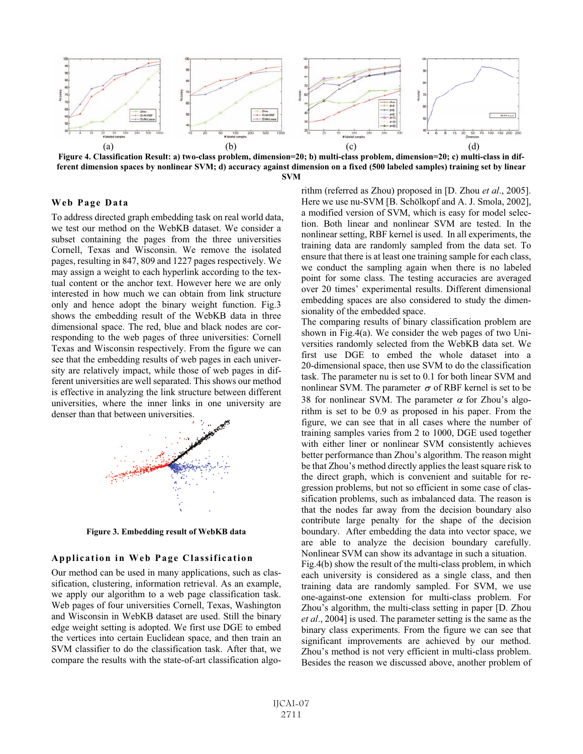

**Figure 4. Classification Result: a) two-class problem, dimension=20; b) multi-class problem, dimension=20; c) multi-class in different dimension spaces by nonlinear SVM; d) accuracy against dimension on a fixed (500 labeled samples) training set by linear SVM** 

#### **Web Page Data**

To address directed graph embedding task on real world data, we test our method on the WebKB dataset. We consider a subset containing the pages from the three universities Cornell, Texas and Wisconsin. We remove the isolated pages, resulting in 847, 809 and 1227 pages respectively. We may assign a weight to each hyperlink according to the textual content or the anchor text. However here we are only interested in how much we can obtain from link structure only and hence adopt the binary weight function. Fig.3 shows the embedding result of the WebKB data in three dimensional space. The red, blue and black nodes are corresponding to the web pages of three universities: Cornell Texas and Wisconsin respectively. From the figure we can see that the embedding results of web pages in each university are relatively impact, while those of web pages in different universities are well separated. This shows our method is effective in analyzing the link structure between different universities, where the inner links in one university are denser than that between universities.



**Figure 3. Embedding result of WebKB data** 

#### **Application in Web Page Classification**

Our method can be used in many applications, such as classification, clustering, information retrieval. As an example, we apply our algorithm to a web page classification task. Web pages of four universities Cornell, Texas, Washington and Wisconsin in WebKB dataset are used. Still the binary edge weight setting is adopted. We first use DGE to embed the vertices into certain Euclidean space, and then train an SVM classifier to do the classification task. After that, we compare the results with the state-of-art classification algorithm (referred as Zhou) proposed in [D. Zhou *et al*., 2005]. Here we use nu-SVM [B. Schölkopf and A. J. Smola, 2002], a modified version of SVM, which is easy for model selection. Both linear and nonlinear SVM are tested. In the nonlinear setting, RBF kernel is used. In all experiments, the training data are randomly sampled from the data set. To ensure that there is at least one training sample for each class, we conduct the sampling again when there is no labeled point for some class. The testing accuracies are averaged over 20 times' experimental results. Different dimensional embedding spaces are also considered to study the dimensionality of the embedded space.

The comparing results of binary classification problem are shown in Fig.4(a). We consider the web pages of two Universities randomly selected from the WebKB data set. We first use DGE to embed the whole dataset into a 20-dimensional space, then use SVM to do the classification task. The parameter nu is set to 0.1 for both linear SVM and nonlinear SVM. The parameter  $\sigma$  of RBF kernel is set to be 38 for nonlinear SVM. The parameter  $\alpha$  for Zhou's algorithm is set to be 0.9 as proposed in his paper. From the figure, we can see that in all cases where the number of training samples varies from 2 to 1000, DGE used together with either liner or nonlinear SVM consistently achieves better performance than Zhou's algorithm. The reason might be that Zhou's method directly applies the least square risk to the direct graph, which is convenient and suitable for regression problems, but not so efficient in some case of classification problems, such as imbalanced data. The reason is that the nodes far away from the decision boundary also contribute large penalty for the shape of the decision boundary. After embedding the data into vector space, we are able to analyze the decision boundary carefully. Nonlinear SVM can show its advantage in such a situation. Fig.4(b) show the result of the multi-class problem, in which

each university is considered as a single class, and then training data are randomly sampled. For SVM, we use one-against-one extension for multi-class problem. For Zhou's algorithm, the multi-class setting in paper [D. Zhou *et al*., 2004] is used. The parameter setting is the same as the binary class experiments. From the figure we can see that significant improvements are achieved by our method. Zhou's method is not very efficient in multi-class problem. Besides the reason we discussed above, another problem of